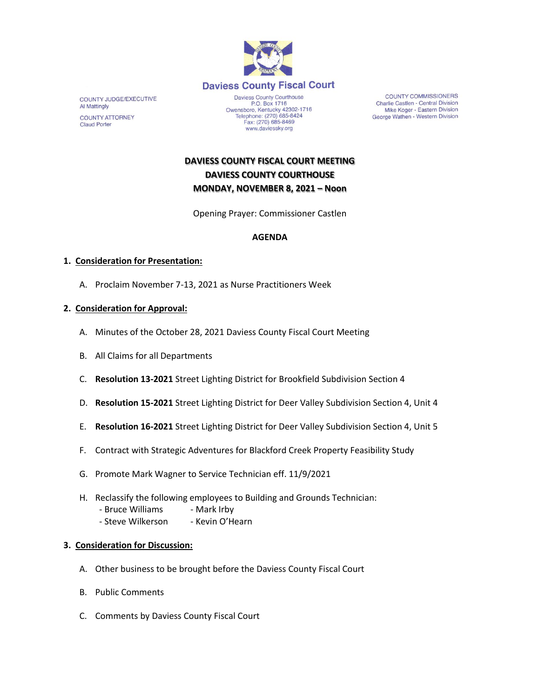

COUNTY JUDGE/EXECUTIVE Al Mattingly **COUNTY ATTORNEY Claud Porter** 

P.O. Box 1716<br>
Owensboro, Kentucky 42302-1716<br>
Telephone: (270) 685-8424 Fax: (270) 685-8469 www.daviessky.org

**COUNTY COMMISSIONERS** Charlie Castlen - Central Division<br>Mike Koger - Eastern Division George Wathen - Western Division

# **DAVIESS COUNTY FISCAL COURT MEETING DAVIESS COUNTY COURTHOUSE MONDAY, NOVEMBER 8, 2021 – Noon**

Opening Prayer: Commissioner Castlen

### **AGENDA**

#### **1. Consideration for Presentation:**

A. Proclaim November 7-13, 2021 as Nurse Practitioners Week

#### **2. Consideration for Approval:**

- A. Minutes of the October 28, 2021 Daviess County Fiscal Court Meeting
- B. All Claims for all Departments
- C. **Resolution 13-2021** Street Lighting District for Brookfield Subdivision Section 4
- D. **Resolution 15-2021** Street Lighting District for Deer Valley Subdivision Section 4, Unit 4
- E. **Resolution 16-2021** Street Lighting District for Deer Valley Subdivision Section 4, Unit 5
- F. Contract with Strategic Adventures for Blackford Creek Property Feasibility Study
- G. Promote Mark Wagner to Service Technician eff. 11/9/2021
- H. Reclassify the following employees to Building and Grounds Technician:
	- Bruce Williams Mark Irby
	- Steve Wilkerson Kevin O'Hearn

#### **3. Consideration for Discussion:**

- A. Other business to be brought before the Daviess County Fiscal Court
- B. Public Comments
- C. Comments by Daviess County Fiscal Court